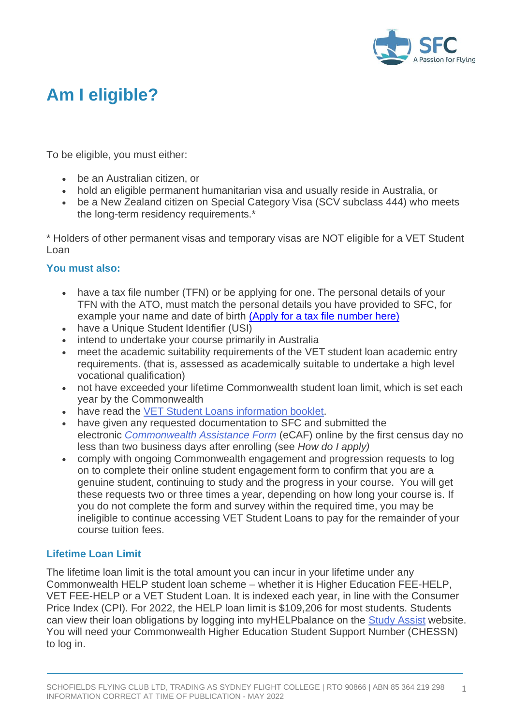

# **Am I eligible?**

To be eligible, you must either:

- be an Australian citizen, or
- hold an eligible permanent humanitarian visa and usually reside in Australia, or
- be a New Zealand citizen on Special Category Visa (SCV subclass 444) who meets the long-term residency requirements.\*

\* Holders of other permanent visas and temporary visas are NOT eligible for a VET Student Loan

# **You must also:**

- have a tax file number (TFN) or be applying for one. The personal details of your TFN with the ATO, must match the personal details you have provided to SFC, for example your name and date of birth [\(Apply for a tax file number here\)](https://www.ato.gov.au/Individuals/Tax-file-number/)
- have a Unique Student Identifier (USI)
- intend to undertake your course primarily in Australia
- meet the academic suitability requirements of the VET student loan academic entry requirements. (that is, assessed as academically suitable to undertake a high level vocational qualification)
- not have exceeded your lifetime Commonwealth student loan limit, which is set each year by the Commonwealth
- have read the [VET Student Loans information booklet.](https://www.dese.gov.au/vet-student-loans/vet-information-students/information-vet-student-loans-students)
- have given any requested documentation to SFC and submitted the electronic *[Commonwealth Assistance Form](https://www.dese.gov.au/vet-student-loans/resources/ecaf-fact-sheet)* (eCAF) online by the first census day no less than two business days after enrolling (see *How do I apply)*
- comply with ongoing Commonwealth engagement and progression requests to log on to complete their online student engagement form to confirm that you are a genuine student, continuing to study and the progress in your course. You will get these requests two or three times a year, depending on how long your course is. If you do not complete the form and survey within the required time, you may be ineligible to continue accessing VET Student Loans to pay for the remainder of your course tuition fees.

# **Lifetime Loan Limit**

The lifetime loan limit is the total amount you can incur in your lifetime under any Commonwealth HELP student loan scheme – whether it is Higher Education FEE-HELP, VET FEE-HELP or a VET Student Loan. It is indexed each year, in line with the Consumer Price Index (CPI). For 2022, the HELP loan limit is \$109,206 for most students. Students can view their loan obligations by logging into myHELPbalance on the [Study Assist](https://www.studyassist.gov.au/) website. You will need your Commonwealth Higher Education Student Support Number (CHESSN) to log in.